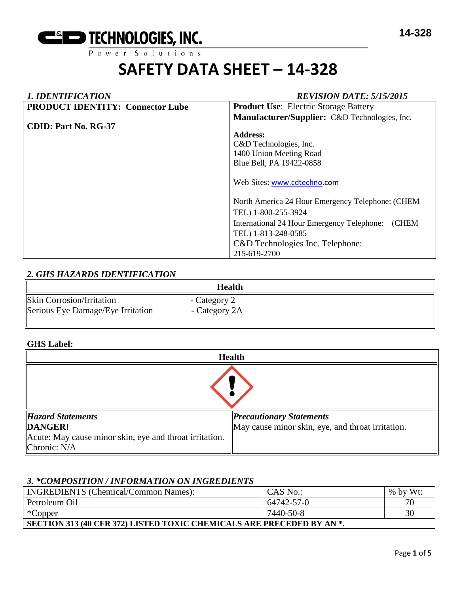

Power Solutions

# **SAFETY DATA SHEET – 14-328**

# *1. IDENTIFICATION REVISION DATE: 5/15/2015* **PRODUCT IDENTITY: Connector Lube CDID: Part No. RG-37 Product Use**: Electric Storage Battery **Manufacturer/Supplier:** C&D Technologies, Inc. **Address:**  C&D Technologies, Inc. 1400 Union Meeting Road Blue Bell, PA 19422-0858 Web Sites: [www.cdtechno.](http://www.cdtechno/)com North America 24 Hour Emergency Telephone: (CHEM TEL) 1-800-255-3924 International 24 Hour Emergency Telephone: (CHEM TEL) 1-813-248-0585 C&D Technologies Inc. Telephone: 215-619-2700

# *2. GHS HAZARDS IDENTIFICATION*

|                                   | Health        |
|-----------------------------------|---------------|
| <b>Skin Corrosion/Irritation</b>  | - Category 2  |
| Serious Eye Damage/Eye Irritation | - Category 2A |

#### **GHS Label:**

| <b>Health</b>                                           |                                                   |  |  |
|---------------------------------------------------------|---------------------------------------------------|--|--|
|                                                         |                                                   |  |  |
| <b>Hazard Statements</b>                                | <b>Precautionary Statements</b>                   |  |  |
| DANGER!                                                 | May cause minor skin, eye, and throat irritation. |  |  |
| Acute: May cause minor skin, eye and throat irritation. |                                                   |  |  |
| Chronic: $N/A$                                          |                                                   |  |  |

## *3. \*COMPOSITION / INFORMATION ON INGREDIENTS*

| <b>INGREDIENTS</b> (Chemical/Common Names):                           | CAS No.:   | $%$ by Wt: |  |  |
|-----------------------------------------------------------------------|------------|------------|--|--|
| Petroleum Oil                                                         | 64742-57-0 | 70         |  |  |
| *Copper                                                               | 7440-50-8  | 30         |  |  |
| SECTION 313 (40 CFR 372) LISTED TOXIC CHEMICALS ARE PRECEDED BY AN *. |            |            |  |  |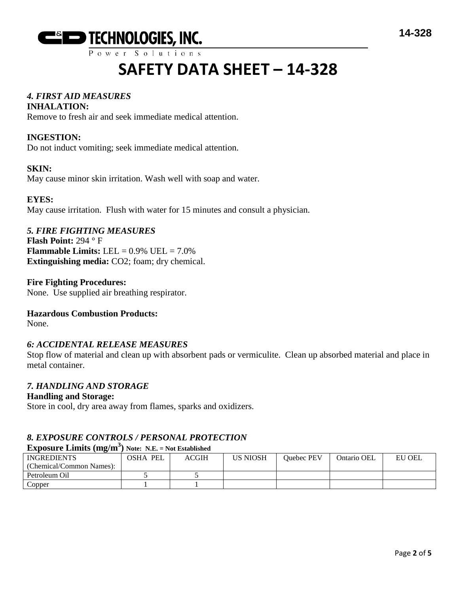

 $P$  ower Solutions

# **SAFETY DATA SHEET – 14-328**

# *4. FIRST AID MEASURES*

#### **INHALATION:**

Remove to fresh air and seek immediate medical attention.

### **INGESTION:**

Do not induct vomiting; seek immediate medical attention.

#### **SKIN:**

May cause minor skin irritation. Wash well with soap and water.

#### **EYES:**

May cause irritation. Flush with water for 15 minutes and consult a physician.

#### *5. FIRE FIGHTING MEASURES*

**Flash Point:** 294 ° F **Flammable Limits:** LEL  $= 0.9\%$  UEL  $= 7.0\%$ **Extinguishing media:** CO2; foam; dry chemical.

#### **Fire Fighting Procedures:**

None. Use supplied air breathing respirator.

#### **Hazardous Combustion Products:**

None.

#### *6: ACCIDENTAL RELEASE MEASURES*

Stop flow of material and clean up with absorbent pads or vermiculite. Clean up absorbed material and place in metal container.

#### *7. HANDLING AND STORAGE*

#### **Handling and Storage:**

Store in cool, dry area away from flames, sparks and oxidizers.

# *8. EXPOSURE CONTROLS / PERSONAL PROTECTION*

# **Exposure Limits (mg/m3 ) Note: N.E. = Not Established**

| <b>INGREDIENTS</b>       | PEL<br>OSHA | ACGIH | <b>US NIOSH</b> | <b>Ouebec PEV</b> | Ontario OEL | EU OEL |
|--------------------------|-------------|-------|-----------------|-------------------|-------------|--------|
| (Chemical/Common Names): |             |       |                 |                   |             |        |
| Petroleum Oil            |             |       |                 |                   |             |        |
| Copper                   |             |       |                 |                   |             |        |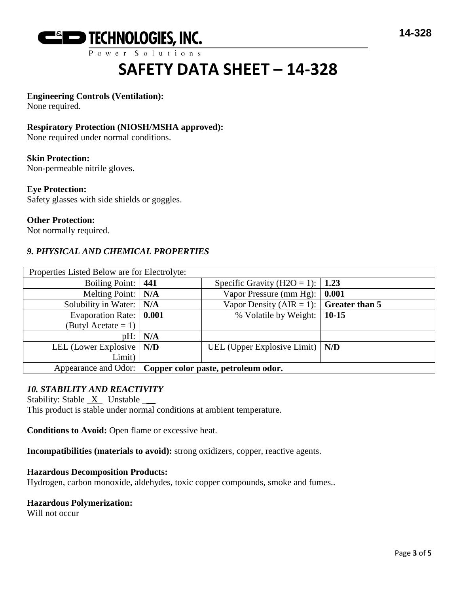

 $P$  ower Solutions

# **SAFETY DATA SHEET – 14-328**

### **Engineering Controls (Ventilation):**

None required.

#### **Respiratory Protection (NIOSH/MSHA approved):**

None required under normal conditions.

#### **Skin Protection:**

Non-permeable nitrile gloves.

#### **Eye Protection:**

Safety glasses with side shields or goggles.

#### **Other Protection:**

Not normally required.

### *9. PHYSICAL AND CHEMICAL PROPERTIES*

| Properties Listed Below are for Electrolyte: |                                                          |                                                |  |  |
|----------------------------------------------|----------------------------------------------------------|------------------------------------------------|--|--|
| Boiling Point: 441                           |                                                          | Specific Gravity (H2O = 1):   1.23             |  |  |
| Melting Point:   N/A                         |                                                          | Vapor Pressure (mm Hg): $\vert$ 0.001          |  |  |
| Solubility in Water: $\vert N/A \vert$       |                                                          | Vapor Density (AIR = 1): $\int$ Greater than 5 |  |  |
| Evaporation Rate: 0.001                      |                                                          | % Volatile by Weight:   10-15                  |  |  |
| (Butyl Acetate = 1)                          |                                                          |                                                |  |  |
|                                              | pH:   N/A                                                |                                                |  |  |
| LEL (Lower Explosive $\vert N/D \vert$       |                                                          | UEL (Upper Explosive Limit) $\vert N/D \vert$  |  |  |
| Limit)                                       |                                                          |                                                |  |  |
|                                              | Appearance and Odor: Copper color paste, petroleum odor. |                                                |  |  |

#### *10. STABILITY AND REACTIVITY*

Stability: Stable  $X$  Unstable  $\_\_\_\$ 

This product is stable under normal conditions at ambient temperature.

**Conditions to Avoid:** Open flame or excessive heat.

**Incompatibilities (materials to avoid):** strong oxidizers, copper, reactive agents.

#### **Hazardous Decomposition Products:**

Hydrogen, carbon monoxide, aldehydes, toxic copper compounds, smoke and fumes..

#### **Hazardous Polymerization:**

Will not occur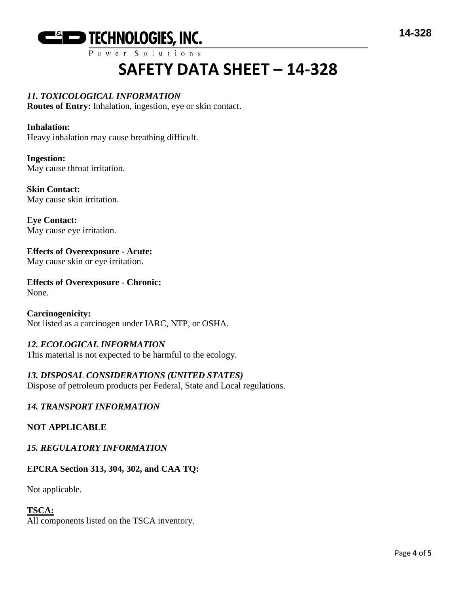

 $P$  ower Solutions

# **SAFETY DATA SHEET – 14-328**

# *11. TOXICOLOGICAL INFORMATION*

**Routes of Entry:** Inhalation, ingestion, eye or skin contact.

#### **Inhalation:**

Heavy inhalation may cause breathing difficult.

**Ingestion:** May cause throat irritation.

**Skin Contact:** May cause skin irritation.

**Eye Contact:** May cause eye irritation.

#### **Effects of Overexposure - Acute:** May cause skin or eye irritation.

**Effects of Overexposure - Chronic:** None.

**Carcinogenicity:** Not listed as a carcinogen under IARC, NTP, or OSHA.

# *12. ECOLOGICAL INFORMATION*

This material is not expected to be harmful to the ecology.

## *13. DISPOSAL CONSIDERATIONS (UNITED STATES)*

Dispose of petroleum products per Federal, State and Local regulations.

## *14. TRANSPORT INFORMATION*

#### **NOT APPLICABLE**

#### *15. REGULATORY INFORMATION*

## **EPCRA Section 313, 304, 302, and CAA TQ:**

Not applicable.

# **TSCA:**

All components listed on the TSCA inventory.